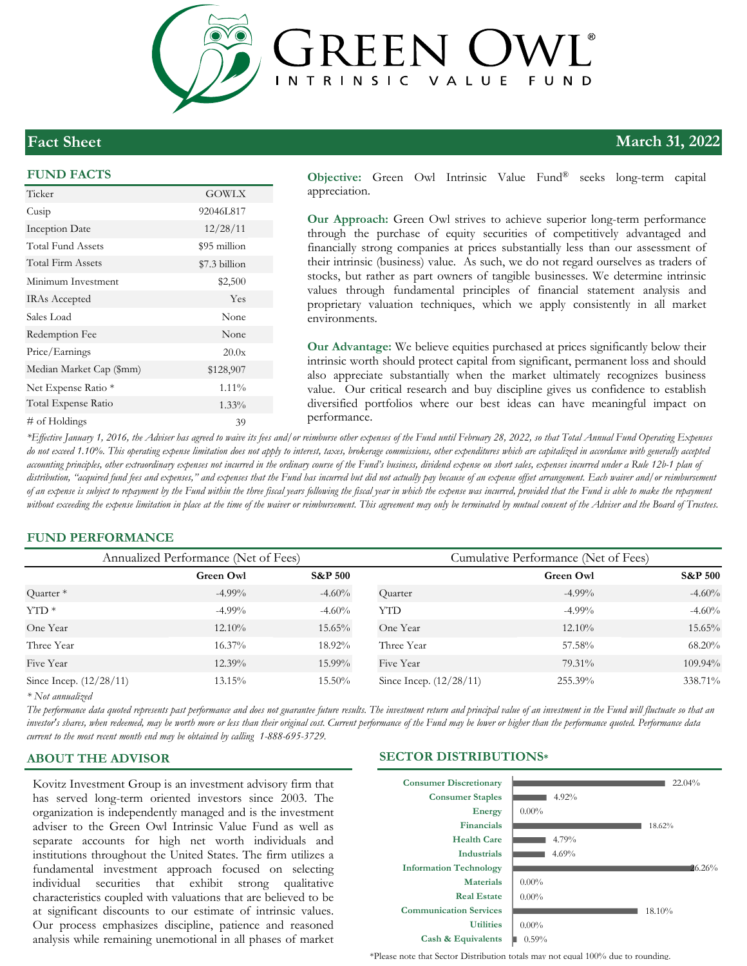

# **Fact Sheet**

### **FUND FACTS**

| Ticker                   | <b>GOWLX</b>  |
|--------------------------|---------------|
| Cusip                    | 92046L817     |
| Inception Date           | 12/28/11      |
| Total Fund Assets        | \$95 million  |
| Total Firm Assets        | \$7.3 billion |
| Minimum Investment       | \$2,500       |
| <b>IRAs Accepted</b>     | Yes           |
| Sales Load               | None          |
| Redemption Fee           | None          |
| Price/Earnings           | 20.0x         |
| Median Market Cap (\$mm) | \$128,907     |
| Net Expense Ratio *      | 1.11%         |
| Total Expense Ratio      | 1.33%         |
| # of Holdings            | 39            |

**Objective:** Green Owl Intrinsic Value Fund® seeks long-term capital appreciation.

**Our Approach:** Green Owl strives to achieve superior long-term performance through the purchase of equity securities of competitively advantaged and financially strong companies at prices substantially less than our assessment of their intrinsic (business) value. As such, we do not regard ourselves as traders of stocks, but rather as part owners of tangible businesses. We determine intrinsic values through fundamental principles of financial statement analysis and proprietary valuation techniques, which we apply consistently in all market environments.

**Our Advantage:** We believe equities purchased at prices significantly below their intrinsic worth should protect capital from significant, permanent loss and should also appreciate substantially when the market ultimately recognizes business value. Our critical research and buy discipline gives us confidence to establish diversified portfolios where our best ideas can have meaningful impact on performance.

*\*Effective January 1, 2016, the Adviser has agreed to waive its fees and/or reimburse other expenses of the Fund until February 28, 2022, so that Total Annual Fund Operating Expenses*  do not exceed 1.10%. This operating expense limitation does not apply to interest, taxes, brokerage commissions, other expenditures which are capitalized in accordance with generally accepted *accounting principles, other extraordinary expenses not incurred in the ordinary course of the Fund's business, dividend expense on short sales, expenses incurred under a Rule 12b-1 plan of*  distribution, "acquired fund fees and expenses," and expenses that the Fund has incurred but did not actually pay because of an expense offset arrangement. Each waiver and/or reimbursement *of an expense is subject to repayment by the Fund within the three fiscal years following the fiscal year in which the expense was incurred, provided that the Fund is able to make the repayment*  without exceeding the expense limitation in place at the time of the waiver or reimbursement. This agreement may only be terminated by mutual consent of the Adviser and the Board of Trustees.

### **FUND PERFORMANCE**

| Annualized Performance (Net of Fees) |           | Cumulative Performance (Net of Fees) |                           |           |                    |
|--------------------------------------|-----------|--------------------------------------|---------------------------|-----------|--------------------|
|                                      | Green Owl | <b>S&amp;P 500</b>                   |                           | Green Owl | <b>S&amp;P 500</b> |
| Quarter <sup>*</sup>                 | $-4.99\%$ | $-4.60%$                             | Quarter                   | $-4.99\%$ | $-4.60%$           |
| $YTD*$                               | $-4.99\%$ | $-4.60%$                             | <b>YTD</b>                | $-4.99\%$ | $-4.60%$           |
| One Year                             | $12.10\%$ | $15.65\%$                            | One Year                  | $12.10\%$ | 15.65%             |
| Three Year                           | $16.37\%$ | 18.92%                               | Three Year                | 57.58%    | 68.20%             |
| Five Year                            | $12.39\%$ | 15.99%                               | Five Year                 | 79.31%    | 109.94%            |
| Since Incep. (12/28/11)              | 13.15%    | 15.50%                               | Since Incep. $(12/28/11)$ | 255.39%   | 338.71%            |

*\* Not annualized* 

*The performance data quoted represents past performance and does not guarantee future results. The investment return and principal value of an investment in the Fund will fluctuate so that an investor's shares, when redeemed, may be worth more or less than their original cost. Current performance of the Fund may be lower or higher than the performance quoted. Performance data current to the most recent month end may be obtained by calling 1-888-695-3729.*

Kovitz Investment Group is an investment advisory firm that has served long-term oriented investors since 2003. The organization is independently managed and is the investment adviser to the Green Owl Intrinsic Value Fund as well as separate accounts for high net worth individuals and institutions throughout the United States. The firm utilizes a fundamental investment approach focused on selecting individual securities that exhibit strong qualitative characteristics coupled with valuations that are believed to be at significant discounts to our estimate of intrinsic values. Our process emphasizes discipline, patience and reasoned analysis while remaining unemotional in all phases of market

### **ABOUT THE ADVISOR SECTOR DISTRIBUTIONS\***



\*Please note that Sector Distribution totals may not equal 100% due to rounding.

# **March 31, 2022**